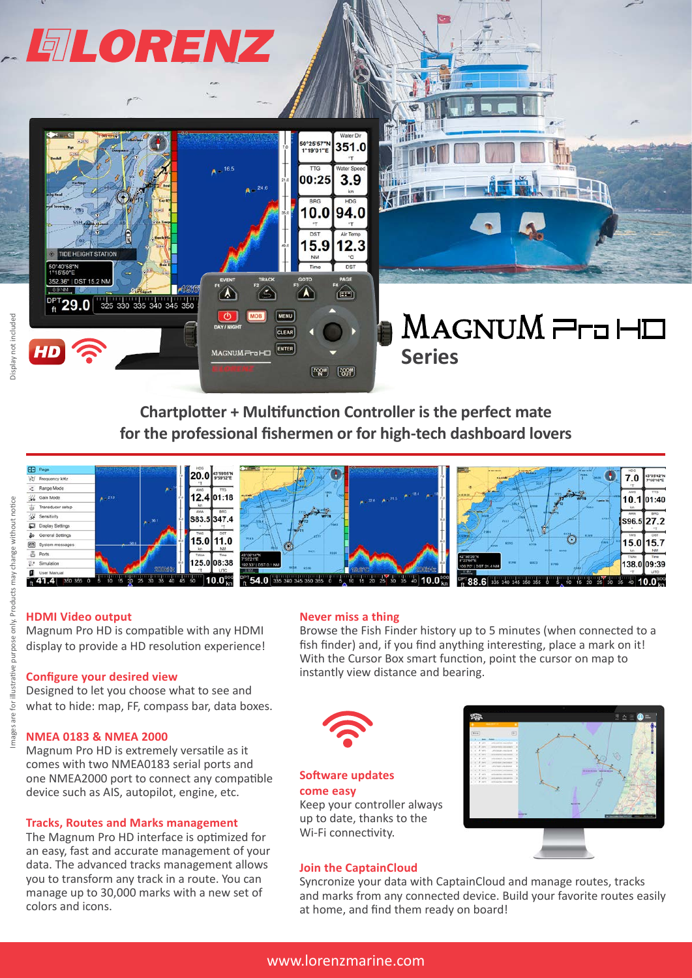

**Chartplotter + Multifunction Controller is the perfect mate for the professional fishermen or for high-tech dashboard lovers**



#### **HDMI Video output**

Magnum Pro HD is compatible with any HDMI display to provide a HD resolution experience!

#### **Configure your desired view**

Designed to let you choose what to see and what to hide: map, FF, compass bar, data boxes.

#### **NMEA 0183 & NMEA 2000**

Magnum Pro HD is extremely versatile as it comes with two NMEA0183 serial ports and one NMEA2000 port to connect any compatible device such as AIS, autopilot, engine, etc.

#### **Tracks, Routes and Marks management**

The Magnum Pro HD interface is optimized for an easy, fast and accurate management of your data. The advanced tracks management allows you to transform any track in a route. You can manage up to 30,000 marks with a new set of colors and icons.

#### **Never miss a thing**

Browse the Fish Finder history up to 5 minutes (when connected to a fish finder) and, if you find anything interesting, place a mark on it! With the Cursor Box smart function, point the cursor on map to instantly view distance and bearing.



### **Software updates come easy**

Keep your controller always up to date, thanks to the Wi-Fi connectivity.

#### **Join the CaptainCloud**



Syncronize your data with CaptainCloud and manage routes, tracks and marks from any connected device. Build your favorite routes easily at home, and find them ready on board!

illustrative purpose only.

for are 1 mages